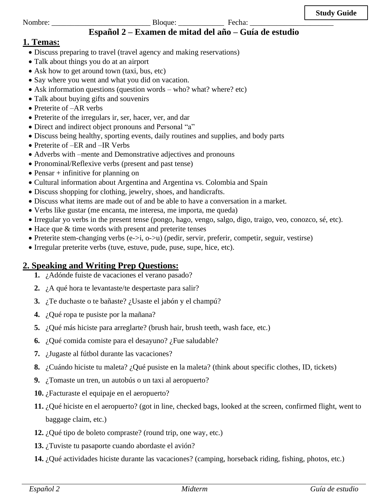### Nombre: \_\_\_\_\_\_\_\_\_\_\_\_\_\_\_\_\_\_\_\_\_\_\_\_\_\_ Bloque: \_\_\_\_\_\_\_\_\_\_\_\_ Fecha: \_\_\_\_\_\_\_\_\_\_\_\_\_\_\_\_\_\_\_\_\_\_ **Español 2 – Examen de mitad del año – Guía de estudio**

# **1. Temas:**

- Discuss preparing to travel (travel agency and making reservations)
- Talk about things you do at an airport
- Ask how to get around town (taxi, bus, etc)
- Say where you went and what you did on vacation.
- Ask information questions (question words who? what? where? etc)
- Talk about buying gifts and souvenirs
- Preterite of  $-AR$  verbs
- Preterite of the irregulars ir, ser, hacer, ver, and dar
- Direct and indirect object pronouns and Personal "a"
- Discuss being healthy, sporting events, daily routines and supplies, and body parts
- Preterite of –ER and –IR Verbs
- Adverbs with –mente and Demonstrative adjectives and pronouns
- Pronominal/Reflexive verbs (present and past tense)
- Pensar + infinitive for planning on
- Cultural information about Argentina and Argentina vs. Colombia and Spain
- Discuss shopping for clothing, jewelry, shoes, and handicrafts.
- Discuss what items are made out of and be able to have a conversation in a market.
- Verbs like gustar (me encanta, me interesa, me importa, me queda)
- Irregular yo verbs in the present tense (pongo, hago, vengo, salgo, digo, traigo, veo, conozco, sé, etc).
- Hace que & time words with present and preterite tenses
- Preterite stem-changing verbs  $(e\rightarrow i, o\rightarrow u)$  (pedir, servir, preferir, competir, seguir, vestirse)
- Irregular preterite verbs (tuve, estuve, pude, puse, supe, hice, etc).

# **2. Speaking and Writing Prep Questions:**

- **1.** ¿Adónde fuiste de vacaciones el verano pasado?
- **2.** ¿A qué hora te levantaste/te despertaste para salir?
- **3.** ¿Te duchaste o te bañaste? ¿Usaste el jabón y el champú?
- **4.** ¿Qué ropa te pusiste por la mañana?
- **5.** ¿Qué más hiciste para arreglarte? (brush hair, brush teeth, wash face, etc.)
- **6.** ¿Qué comida comiste para el desayuno? ¿Fue saludable?
- **7.** ¿Jugaste al fútbol durante las vacaciones?
- **8.** ¿Cuándo hiciste tu maleta? ¿Qué pusiste en la maleta? (think about specific clothes, ID, tickets)
- **9.** ¿Tomaste un tren, un autobús o un taxi al aeropuerto?
- **10.** ¿Facturaste el equipaje en el aeropuerto?
- **11.** ¿Qué hiciste en el aeropuerto? (got in line, checked bags, looked at the screen, confirmed flight, went to baggage claim, etc.)
- **12.** ¿Qué tipo de boleto compraste? (round trip, one way, etc.)
- **13.** ¿Tuviste tu pasaporte cuando abordaste el avión?
- **14.** ¿Qué actividades hiciste durante las vacaciones? (camping, horseback riding, fishing, photos, etc.)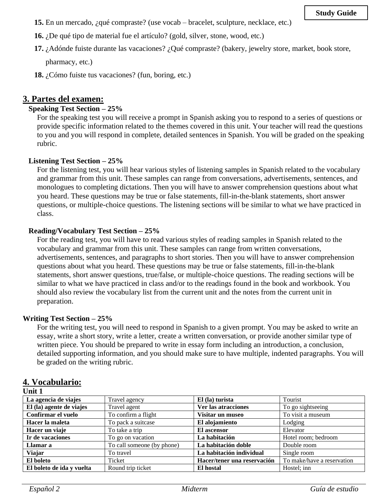- **15.** En un mercado, ¿qué compraste? (use vocab bracelet, sculpture, necklace, etc.)
- **16.** ¿De qué tipo de material fue el artículo? (gold, silver, stone, wood, etc.)
- **17.** ¿Adónde fuiste durante las vacaciones? ¿Qué compraste? (bakery, jewelry store, market, book store, pharmacy, etc.)
- **18.** ¿Cómo fuiste tus vacaciones? (fun, boring, etc.)

### **3. Partes del examen:**

### **Speaking Test Section – 25%**

For the speaking test you will receive a prompt in Spanish asking you to respond to a series of questions or provide specific information related to the themes covered in this unit. Your teacher will read the questions to you and you will respond in complete, detailed sentences in Spanish. You will be graded on the speaking rubric.

#### **Listening Test Section – 25%**

For the listening test, you will hear various styles of listening samples in Spanish related to the vocabulary and grammar from this unit. These samples can range from conversations, advertisements, sentences, and monologues to completing dictations. Then you will have to answer comprehension questions about what you heard. These questions may be true or false statements, fill-in-the-blank statements, short answer questions, or multiple-choice questions. The listening sections will be similar to what we have practiced in class.

#### **Reading/Vocabulary Test Section – 25%**

For the reading test, you will have to read various styles of reading samples in Spanish related to the vocabulary and grammar from this unit. These samples can range from written conversations, advertisements, sentences, and paragraphs to short stories. Then you will have to answer comprehension questions about what you heard. These questions may be true or false statements, fill-in-the-blank statements, short answer questions, true/false, or multiple-choice questions. The reading sections will be similar to what we have practiced in class and/or to the readings found in the book and workbook. You should also review the vocabulary list from the current unit and the notes from the current unit in preparation.

#### **Writing Test Section – 25%**

For the writing test, you will need to respond in Spanish to a given prompt. You may be asked to write an essay, write a short story, write a letter, create a written conversation, or provide another similar type of written piece. You should be prepared to write in essay form including an introduction, a conclusion, detailed supporting information, and you should make sure to have multiple, indented paragraphs. You will be graded on the writing rubric.

### **4. Vocabulario:**

#### **Unit 1**

| La agencia de viajes      | Travel agency              | El (la) turista             | Tourist                    |
|---------------------------|----------------------------|-----------------------------|----------------------------|
| El (la) agente de viajes  | Travel agent               | Ver las atracciones         | To go sightseeing          |
| Confirmar el vuelo        | To confirm a flight        | Visitar un museo            | To visit a museum          |
| Hacer la maleta           | To pack a suitcase         | El alojamiento              | Lodging                    |
| Hacer un viaje            | To take a trip             | El ascensor                 | Elevator                   |
| Ir de vacaciones          | To go on vacation          | La habitación               | Hotel room; bedroom        |
| Llamar a                  | To call someone (by phone) | La habitación doble         | Double room                |
| Viajar                    | To travel                  | La habitación individual    | Single room                |
| El boleto                 | Ticket                     | Hacer/tener una reservación | To make/have a reservation |
| El boleto de ida y vuelta | Round trip ticket          | El hostal                   | Hostel; inn                |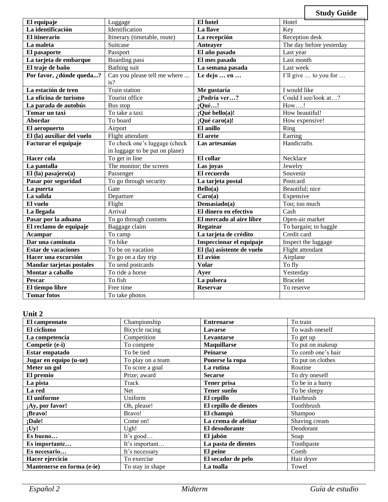**Study Guide El equipaje** Luggage **El hotel** Hotel **La identificación** | Identification | **La llave** | **Key El itinerario** Itinerary (timetable, route) **La recepción** Reception desk **La maleta** Suitcase Suitcase Anteayer The day before yesterday **El pasaporte** Passport Passport **El año pasado** Last year **La tarjeta de embarque** Boarding pass **El mes pasado** Last month **El traje de baño** Bathing suit **La semana pasada** Last week **Por favor, ¿dónde queda...?** Can you please tell me where ... is? Le dejo ... en ... **I'll** give ... to you for ... **La estación de tren** Train station **Me gustaría** I would like **La oficina de turismo** Tourist office *i* **Podría ver...?** Could I see/look at...? **La parada de autobús** Bus stop **¡Qué…!** How….! **Tomar un taxi** To take a taxi **;Qué bello(a)!** How beautiful! **Abordar** To board **i** *l* **l** *l* **<b>Qué caro(a)! i How expensive! El aeropuerto Airport El anillo** Ring **El (la) auxiliar del vuelo** Flight attendant **El arete** El **El arete** Earring **Facturar el equipaje** To check one's luggage (check in luggage to be put on plane) **Las artesanías** Handicrafts **Hacer cola** To get in line **El collar** Necklace **La pantalla** The monitor; the screen **Las joyas** Jewelry **El (la) pasajero(a)** Passenger **El recuerdo** Souvenir **Pasar por seguridad** To go through security **La tarjeta postal** Postcard **La puerta** Beautiful Cate Beautiful Beautiful **La puerte Bello(a)** Beautiful; nice La salida **Carola** Departure **Carola Carola Carola** Expensive **El vuelo** Flight **Demasiado(a)** Too; too much **La llegada** Arrival **El dinero en efectivo** Cash **Pasar por la aduana** To go through customs **El mercado al aire libre** Open-air market<br> **El reclamo de equipaje** Baggage claim **Regatear** To bargain; to haggle **El reclamo de equipaje** Baggage claim **Regatear Acampar** To camp **La tarjeta de crédito** Credit card<br> **Dar una caminata** To hike **La tarjeta de crédito** Credit card **Dar una caminata** To hike **La tarjeta de crédito** Credit card **Dar University Community Inspectionar el equipaje**<br> **EI** (la) asistente de vuelo **Estar de vacaciones** To be on vacation **El (la) asistente de vuelo** Flight attendant **Hacer una excursión** To go on a day trip **El avión** Airplane **Airplane Airplane Mandar tarietas postales** To send postcards **Volar** To fly **Mandar tarjetas postales** To send postcards Volar **Montar a caballo** To ride a horse **Ayer** Yesterday **Pescar** To fish **La pulsera** Bracelet **El tiempo libre** Free time **Reservar** To reserve **Tomar fotos** To take photos

#### **Unit 2**

| El campeonato              | Championship      | <b>Entrenarse</b>     | To train           |
|----------------------------|-------------------|-----------------------|--------------------|
| El ciclismo                | Bicycle racing    | <b>Lavarse</b>        | To wash oneself    |
| La competencia             | Competition       | Levantarse            | To get up          |
| Competir (e-i)             | To compete        | <b>Maquillarse</b>    | To put on makeup   |
| Estar empatado             | To be tied        | <b>Peinarse</b>       | To comb one's hair |
| Jugar en equipo (u-ue)     | To play on a team | Ponerse la ropa       | To put on clothes  |
| Meter un gol               | To score a goal   | La rutina             | Routine            |
| El premio                  | Prize; award      | <b>Secarse</b>        | To dry oneself     |
| La pista                   | Track             | Tener prisa           | To be in a hurry   |
| <b>La red</b>              | <b>Net</b>        | Tener sueño           | To be sleepy       |
| El uniforme                | Uniform           | El cepillo            | Hairbrush          |
| ¡Ay, por favor!            | Oh, please!       | El cepillo de dientes | Toothbrush         |
| ;Bravo!                    | Bravo!            | El champú             | Shampoo            |
| ;Dale!                     | Come on!          | La crema de afeitar   | Shaving cream      |
| iUy!                       | Ugh!              | El desodorante        | Deodorant          |
| Es bueno                   | It's good         | El jabón              | Soap               |
| Es importante              | It's important    | La pasta de dientes   | Toothpaste         |
| Es necesario               | It's necessary    | El peine              | Comb               |
| Hacer ejercicio            | To exercise       | El secador de pelo    | Hair dryer         |
| Mantenerse en forma (e-ie) | To stay in shape  | La toalla             | Towel              |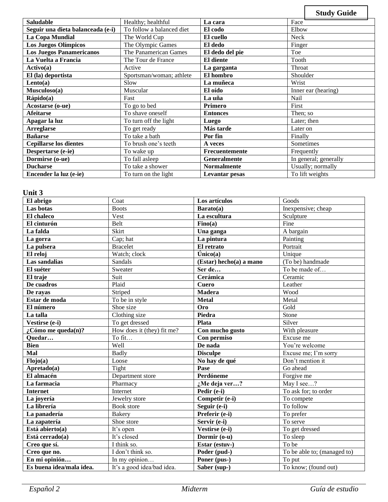|                                   |                           |                    |            | <b>Study Guide</b>    |
|-----------------------------------|---------------------------|--------------------|------------|-----------------------|
| <b>Saludable</b>                  | Healthy; healthful        | La cara            | Face       |                       |
| Seguir una dieta balanceada (e-i) | To follow a balanced diet | El codo            | Elbow      |                       |
| La Copa Mundial                   | The World Cup             | El cuello          | Neck       |                       |
| <b>Los Juegos Olímpicos</b>       | The Olympic Games         | El dedo            | Finger     |                       |
| <b>Los Juegos Panamericanos</b>   | The Panamerican Games     | El dedo del pie    | Toe        |                       |
| La Vuelta a Francia               | The Tour de France        | El diente          | Tooth      |                       |
| Activo(a)                         | Active                    | La garganta        | Throat     |                       |
| El (la) deportista                | Sportsman/woman; athlete  | El hombro          | Shoulder   |                       |
| Lento(a)                          | Slow                      | La muñeca          | Wrist      |                       |
| Musculoso(a)                      | Muscular                  | El oído            |            | Inner ear (hearing)   |
| Rápido(a)                         | Fast                      | La uña             | Nail       |                       |
| Acostarse (o-ue)                  | To go to bed              | Primero            | First      |                       |
| <b>Afeitarse</b>                  | To shave oneself          | <b>Entonces</b>    | Then; so   |                       |
| Apagar la luz                     | To turn off the light     | <b>Luego</b>       |            | Later; then           |
| <b>Arreglarse</b>                 | To get ready              | Más tarde          | Later on   |                       |
| <b>Bañarse</b>                    | To take a bath            | Por fin            | Finally    |                       |
| <b>Cepillarse los dientes</b>     | To brush one's teeth      | A veces            |            | Sometimes             |
| Despertarse (e-ie)                | To wake up                | Frecuentemente     | Frequently |                       |
| Dormirse (o-ue)                   | To fall asleep            | Generalmente       |            | In general; generally |
| <b>Ducharse</b>                   | To take a shower          | <b>Normalmente</b> |            | Usually; normally     |
| Encender la luz (e-ie)            | To turn on the light      | Levantar pesas     |            | To lift weights       |

### **Unit 3**

| El abrigo                   | Coat                       | Los artículos             | Goods                       |
|-----------------------------|----------------------------|---------------------------|-----------------------------|
| Las botas                   | <b>Boots</b>               | Barato(a)                 | Inexpensive; cheap          |
| El chaleco                  | Vest                       | La escultura              | Sculpture                   |
| El cinturón                 | Belt                       | Fino(a)                   | Fine                        |
| La falda                    | Skirt                      | Una ganga                 | A bargain                   |
| La gorra                    | Cap; hat                   | La pintura                | Painting                    |
| La pulsera                  | <b>Bracelet</b>            | El retrato                | Portrait                    |
| El reloj                    | Watch; clock               | línico(a)                 | Unique                      |
| Las sandalias               | Sandals                    | $(Estar)$ hecho(a) a mano | (To be) handmade            |
| El suéter                   | Sweater                    | Ser de                    | To be made of               |
| El traje                    | Suit                       | Cerámica                  | Ceramic                     |
| De cuadros                  | Plaid                      | <b>Cuero</b>              | Leather                     |
| De rayas                    | Striped                    | <b>Madera</b>             | Wood                        |
| Estar de moda               | To be in style             | <b>Metal</b>              | Metal                       |
| El número                   | Shoe size                  | <b>Oro</b>                | Gold                        |
| La talla                    | Clothing size              | Piedra                    | Stone                       |
| Vestirse (e-i)              | To get dressed             | Plata                     | Silver                      |
| $\lambda$ Cómo me queda(n)? | How does it (they) fit me? | Con mucho gusto           | With pleasure               |
| Quedar                      | To fit                     | Con permiso               | Excuse me                   |
| <b>Bien</b>                 | Well                       | De nada                   | You're welcome              |
| Mal                         | <b>Badly</b>               | <b>Disculpe</b>           | Excuse me; I'm sorry        |
| Flojo(a)                    | Loose                      | No hay de qué             | Don't mention it            |
| Apretado(a)                 | Tight                      | Pase                      | Go ahead                    |
| El almacén                  | Department store           | Perdóneme                 | Forgive me                  |
| La farmacia                 | Pharmacy                   | :Me deja ver?             | May I see?                  |
| <b>Internet</b>             | Internet                   | Pedir (e-i)               | To ask for; to order        |
| La joyería                  | Jewelry store              | Competir (e-i)            | To compete                  |
| La librería                 | Book store                 | Seguir (e-i)              | To follow                   |
| La panadería                | <b>Bakery</b>              | Preferir (e-i)            | To prefer                   |
| La zapatería                | Shoe store                 | Servir (e-i)              | To serve                    |
| Está abierto(a)             | It's open                  | Vestirse (e-i)            | To get dressed              |
| Está cerrado(a)             | It's closed                | Dormir (o-u)              | To sleep                    |
| Creo que sí.                | I think so.                | Estar (estuv-)            | To be                       |
| Creo que no.                | I don't think so.          | Poder (pud-)              | To be able to; (managed to) |
| En mi opinión               | In my opinion              | Poner (pus-)              | To put                      |
| Es buena idea/mala idea.    | It's a good idea/bad idea. | Saber (sup-)              | To know; (found out)        |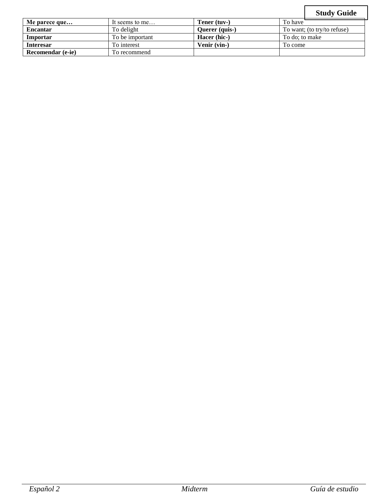# **Study Guide**

|                   |                 |                |                | <b>Study Guide</b>          |
|-------------------|-----------------|----------------|----------------|-----------------------------|
| Me parece que     | It seems to me  | Tener (tuv-)   | To have        |                             |
| <b>Encantar</b>   | To delight      | Querer (quis-) |                | To want; (to try/to refuse) |
| Importar          | To be important | Hacer (hic-)   | To do: to make |                             |
| <b>Interesar</b>  | To interest     | Venir (vin-)   | To come        |                             |
| Recomendar (e-ie) | To recommend    |                |                |                             |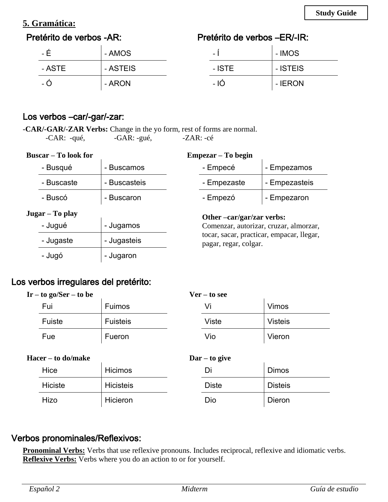# **5. Gramática:**

# Pretérito de verbos -AR:

# Pretérito de verbos –ER/-IR:

| - É    | - AMOS   | $\overline{\phantom{0}}$ | - IMOS   |
|--------|----------|--------------------------|----------|
| - ASTE | - ASTEIS | - ISTE                   | - ISTEIS |
| - C    | - ARON   | $-1$ Ó                   | - IERON  |

### Los verbos –car/-gar/-zar:

**-CAR/-GAR/-ZAR Verbs:** Change in the yo form, rest of forms are normal. -CAR: -qué, -GAR: -gué, -ZAR: -cé

| <b>Buscar – To look for</b><br>Empezar – To begin |              |  |                                                                    |               |
|---------------------------------------------------|--------------|--|--------------------------------------------------------------------|---------------|
| - Busqué                                          | - Buscamos   |  | - Empecé                                                           | - Empezamos   |
| - Buscaste                                        | - Buscasteis |  | - Empezaste                                                        | - Empezasteis |
| - Buscó                                           | - Buscaron   |  | - Empezó                                                           | - Empezaron   |
| Jugar – To play                                   |              |  | Other -car/gar/zar verbs:                                          |               |
| - Jugué                                           | - Jugamos    |  | Comenzar, autorizar, cruzar, almorzar,                             |               |
| - Jugaste                                         | - Jugasteis  |  | tocar, sacar, practicar, empacar, llegar,<br>pagar, regar, colgar. |               |
| - Jugó                                            | - Jugaron    |  |                                                                    |               |

# Los verbos irregulares del pretérito:

| $Ir - to go/Ser - to be$ |                 | $Ver - to see$ |                |
|--------------------------|-----------------|----------------|----------------|
| Fui                      | Fuimos          | Vi             | <b>Vimos</b>   |
| Fuiste                   | <b>Fuisteis</b> | Viste          | <b>Visteis</b> |
| Fue                      | Fueron          | Vio            | Vieron         |
|                          |                 |                |                |

| <b>Hacer – to do/make</b> |                  | $\mathbf{D}$ ar – to give |                |
|---------------------------|------------------|---------------------------|----------------|
| Hice                      | <b>Hicimos</b>   | Di                        | <b>Dimos</b>   |
| <b>Hiciste</b>            | <b>Hicisteis</b> | <b>Diste</b>              | <b>Disteis</b> |
| Hizo                      | Hicieron         | Dio                       | Dieron         |

## Verbos pronominales/Reflexivos:

**Pronominal Verbs:** Verbs that use reflexive pronouns. Includes reciprocal, reflexive and idiomatic verbs. **Reflexive Verbs:** Verbs where you do an action to or for yourself.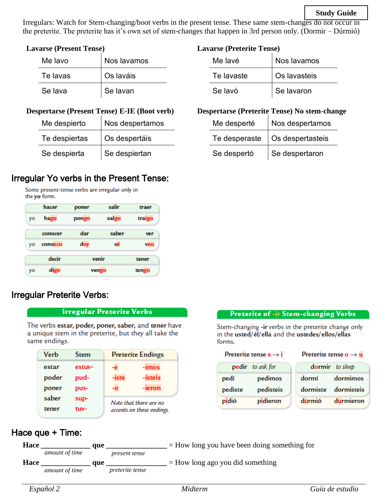### **Study Guide**

Irregulars: Watch for Stem-changing/boot verbs in the present tense. These same stem-changes do not occur in the preterite. The preterite has it's own set of stem-changes that happen in 3rd person only. (Dormir – Dúrmió)

### **Lavarse (Present Tense)**

| Me lavo  | Nos lavamos |
|----------|-------------|
| Te lavas | Os laváis   |
| Se lava  | Se lavan    |

### **Despertarse (Present Tense) E-IE (Boot verb)**

| Me despierto  | Nos despertamos |
|---------------|-----------------|
| Te despiertas | Os despertáis   |
| Se despierta  | Se despiertan   |

## Irregular Yo verbs in the Present Tense:

Some present-tense verbs are irregular only in the yo form.

|    | hacer   | poner | salir | traer  |
|----|---------|-------|-------|--------|
| yo | hago    | pongo | salgo | traigo |
|    | conocer | dar   | saber | ver    |
| yo | conozco | doy   | sé    | veo    |
|    | decir   | venir |       | tener  |
| yo | digo    |       | vengo | tengo  |

## Irregular Preterite Verbs:

#### Irregular Preterite Verbs

The verbs estar, poder, poner, saber, and tener have a unique stem in the preterite, but they all take the same endings.

| Verb  | <b>Stem</b> | <b>Preterite Endings</b>                            |         |
|-------|-------------|-----------------------------------------------------|---------|
| estar | estuv-      | -e                                                  | -imos   |
| poder | pud-        | -iste                                               | -isteis |
| poner | pus-        | -0                                                  | -ieron  |
| saber | sup-        | Note that there are no<br>accents on these endings. |         |
| tener | tuv-        |                                                     |         |

### **Lavarse (Preterite Tense)**

| Me lavé    | Nos lavamos  |  |
|------------|--------------|--|
| Te lavaste | Os lavasteis |  |
| Se lavó    | Se lavaron   |  |

### **Despertarse (Preterite Tense) No stem-change**

| Me desperté   | Nos despertamos  |  |
|---------------|------------------|--|
| Te desperaste | Os despertasteis |  |
| Se despertó   | Se despertaron   |  |

#### **Preterite of -ir Stem-changing Verbs**

Stem-changing -ir verbs in the preterite change only in the usted/el/ella and the ustedes/ellos/ellas forms.

#### Preterite tense  $e \rightarrow i$

#### Preterite tense  $o \rightarrow u$

|         | pedir to ask for |        | dormir to sleep     |
|---------|------------------|--------|---------------------|
| pedí    | pedimos          | dormí  | dormimos            |
| pediste | pedisteis        |        | dormiste dormisteis |
| pidió   | pidieron         | durmió | durmieron           |

### Hace que + Time: